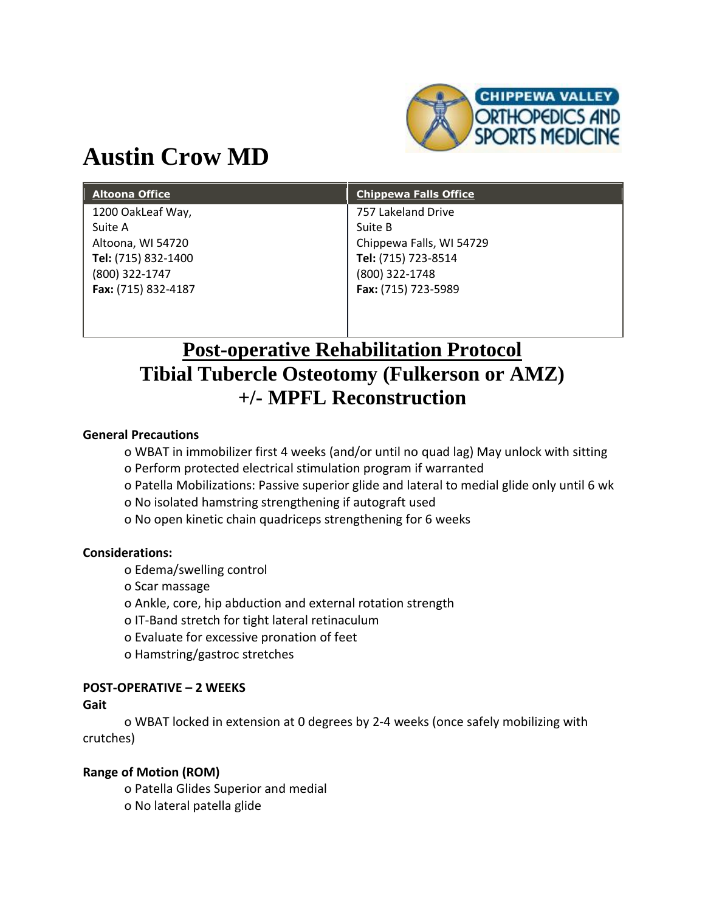

# **Austin Crow MD**

| <b>Altoona Office</b> | <b>Chippewa Falls Office</b> |
|-----------------------|------------------------------|
| 1200 OakLeaf Way,     | 757 Lakeland Drive           |
| Suite A               | Suite B                      |
| Altoona, WI 54720     | Chippewa Falls, WI 54729     |
| Tel: (715) 832-1400   | Tel: (715) 723-8514          |
| (800) 322-1747        | (800) 322-1748               |
| Fax: (715) 832-4187   | Fax: (715) 723-5989          |
|                       |                              |

## **Post-operative Rehabilitation Protocol Tibial Tubercle Osteotomy (Fulkerson or AMZ) +/- MPFL Reconstruction**

#### **General Precautions**

o WBAT in immobilizer first 4 weeks (and/or until no quad lag) May unlock with sitting

- o Perform protected electrical stimulation program if warranted
- o Patella Mobilizations: Passive superior glide and lateral to medial glide only until 6 wk
- o No isolated hamstring strengthening if autograft used
- o No open kinetic chain quadriceps strengthening for 6 weeks

#### **Considerations:**

- o Edema/swelling control
- o Scar massage
- o Ankle, core, hip abduction and external rotation strength
- o IT-Band stretch for tight lateral retinaculum
- o Evaluate for excessive pronation of feet
- o Hamstring/gastroc stretches

#### **POST-OPERATIVE – 2 WEEKS**

#### **Gait**

o WBAT locked in extension at 0 degrees by 2-4 weeks (once safely mobilizing with crutches)

#### **Range of Motion (ROM)**

o Patella Glides Superior and medial o No lateral patella glide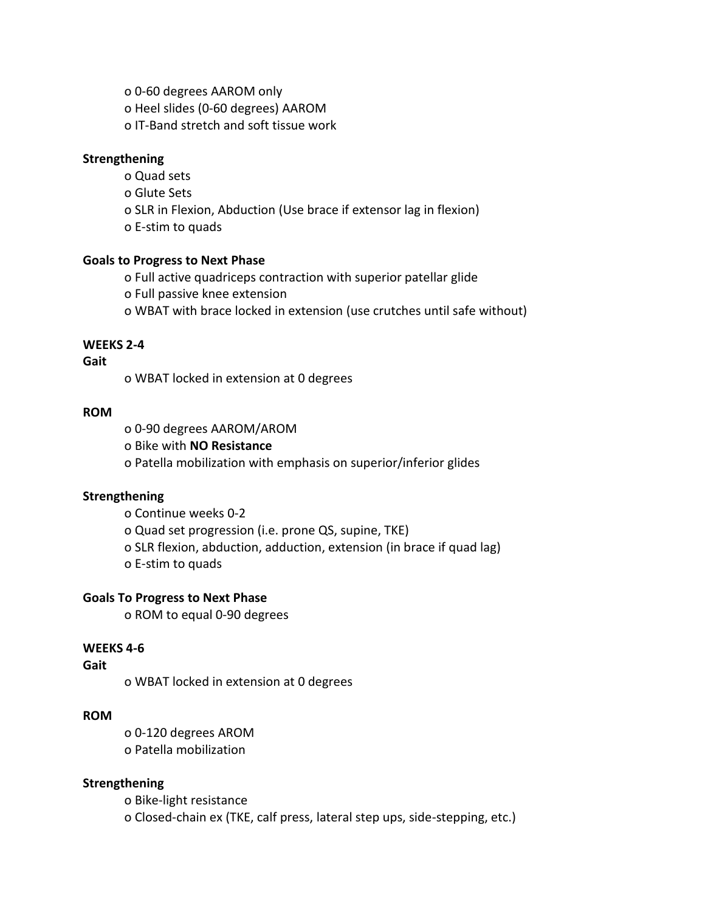o 0-60 degrees AAROM only o Heel slides (0-60 degrees) AAROM o IT-Band stretch and soft tissue work

#### **Strengthening**

- o Quad sets
- o Glute Sets
- o SLR in Flexion, Abduction (Use brace if extensor lag in flexion)
- o E-stim to quads

#### **Goals to Progress to Next Phase**

- o Full active quadriceps contraction with superior patellar glide
- o Full passive knee extension
- o WBAT with brace locked in extension (use crutches until safe without)

#### **WEEKS 2-4**

#### **Gait**

o WBAT locked in extension at 0 degrees

#### **ROM**

- o 0-90 degrees AAROM/AROM
- o Bike with **NO Resistance**
- o Patella mobilization with emphasis on superior/inferior glides

#### **Strengthening**

- o Continue weeks 0-2
- o Quad set progression (i.e. prone QS, supine, TKE)
- o SLR flexion, abduction, adduction, extension (in brace if quad lag)
- o E-stim to quads

#### **Goals To Progress to Next Phase**

o ROM to equal 0-90 degrees

#### **WEEKS 4-6**

#### **Gait**

o WBAT locked in extension at 0 degrees

#### **ROM**

o 0-120 degrees AROM o Patella mobilization

#### **Strengthening**

o Bike-light resistance o Closed-chain ex (TKE, calf press, lateral step ups, side-stepping, etc.)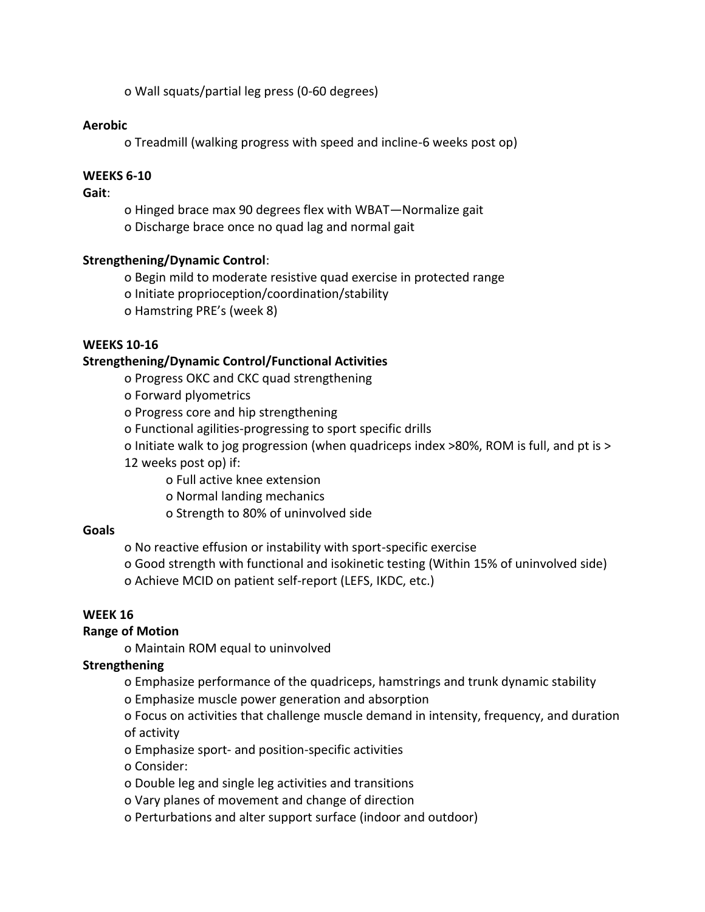o Wall squats/partial leg press (0-60 degrees)

#### **Aerobic**

o Treadmill (walking progress with speed and incline-6 weeks post op)

#### **WEEKS 6-10**

#### **Gait**:

o Hinged brace max 90 degrees flex with WBAT—Normalize gait o Discharge brace once no quad lag and normal gait

#### **Strengthening/Dynamic Control**:

o Begin mild to moderate resistive quad exercise in protected range

o Initiate proprioception/coordination/stability

o Hamstring PRE's (week 8)

#### **WEEKS 10-16**

#### **Strengthening/Dynamic Control/Functional Activities**

o Progress OKC and CKC quad strengthening

o Forward plyometrics

o Progress core and hip strengthening

o Functional agilities-progressing to sport specific drills

o Initiate walk to jog progression (when quadriceps index >80%, ROM is full, and pt is >

12 weeks post op) if:

- o Full active knee extension
- o Normal landing mechanics
- o Strength to 80% of uninvolved side

#### **Goals**

o No reactive effusion or instability with sport-specific exercise

o Good strength with functional and isokinetic testing (Within 15% of uninvolved side) o Achieve MCID on patient self-report (LEFS, IKDC, etc.)

## **WEEK 16**

#### **Range of Motion**

o Maintain ROM equal to uninvolved

#### **Strengthening**

o Emphasize performance of the quadriceps, hamstrings and trunk dynamic stability

o Emphasize muscle power generation and absorption

o Focus on activities that challenge muscle demand in intensity, frequency, and duration of activity

o Emphasize sport- and position-specific activities

o Consider:

- o Double leg and single leg activities and transitions
- o Vary planes of movement and change of direction
- o Perturbations and alter support surface (indoor and outdoor)